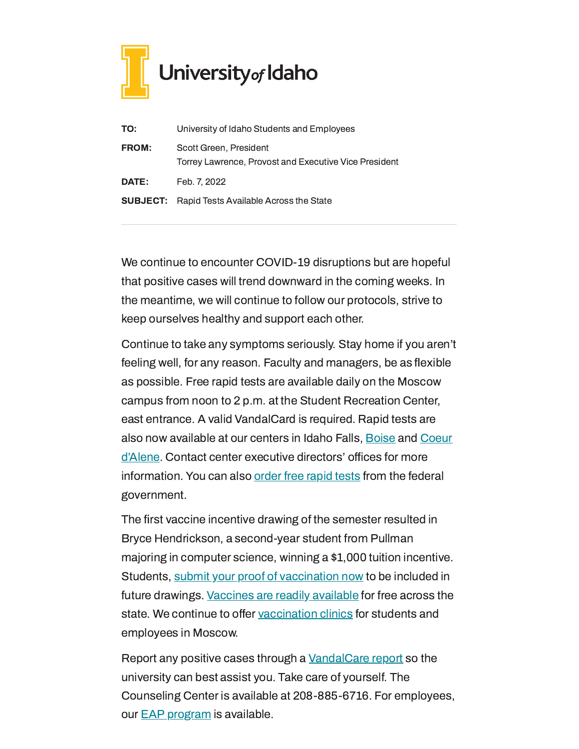

| TO:          | University of Idaho Students and Employees                                      |
|--------------|---------------------------------------------------------------------------------|
| <b>FROM:</b> | Scott Green, President<br>Torrey Lawrence, Provost and Executive Vice President |
| <b>DATE:</b> | Feb. 7, 2022                                                                    |
|              | <b>SUBJECT:</b> Rapid Tests Available Across the State                          |

We continue to encounter COVID-19 disruptions but are hopeful that positive cases will trend downward in the coming weeks. In the meantime, we will continue to follow our protocols, strive to keep ourselves healthy and support each other.

Continue to take any symptoms seriously. Stay home if you aren't feeling well, for any reason. Faculty and managers, be as flexible as possible. Free rapid tests are available daily on the Moscow campus from noon to 2 p.m. at the Student Recreation Center, east entrance. A valid VandalCard is required. Rapid tests are also now available at our centers in Idaho Falls, [Boise](https://www.uidaho.edu/boise/covid-19) and Coeur d'Alene. Contact center [executive](https://www.uidaho.edu/cda/students/resources) directors' offices for more information. You can also [order](http://www.covidtests.gov/) free rapid tests from the federal government.

The first vaccine incentive drawing of the semester resulted in Bryce Hendrickson, a second-year student from Pullman majoring in computer science, winning a \$1,000 tuition incentive. Students, submit your proof of [vaccination](https://uidaho.co1.qualtrics.com/jfe/form/SV_6gICn0bvv2PZPNA) now to be included in future drawings. [Vaccines](https://www.vaccines.gov/search/) are readily available for free across the state. We continue to offer [vaccination](https://www.uidaho.edu/vandal-health-clinic/coronavirus/vaccine/pre-register) clinics for students and employees in Moscow.

Report any positive cases through a [VandalCare](https://www.uidaho.edu/student-affairs/dean-of-students/vandalcare) report so the university can best assist you. Take care of yourself. The Counseling Center is available at 208-885-6716. For employees, our **EAP [program](https://www.uidaho.edu/human-resources/benefits/core-benefits/eap)** is available.